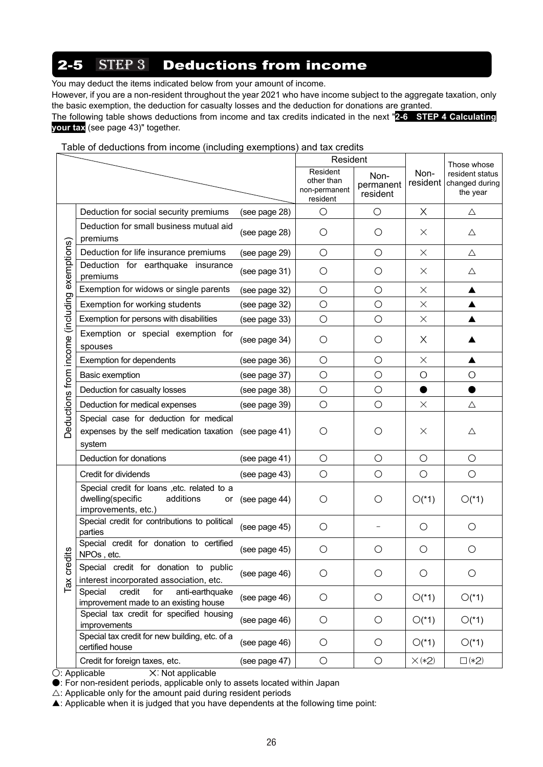# **2-5** STEP 3 Deductions from income

You may deduct the items indicated below from your amount of income.

However, if you are a non-resident throughout the year 2021 who have income subject to the aggregate taxation, only the basic exemption, the deduction for casualty losses and the deduction for donations are granted.

The following table shows deductions from income and tax credits indicated in the next "**2-6 STEP 4 Calculating your tax** (see page 43)" together.

Table of deductions from income (including exemptions) and tax credits

|                                               |                                                                                                             |               | Resident                                            |                               |                  | Those whose                                   |
|-----------------------------------------------|-------------------------------------------------------------------------------------------------------------|---------------|-----------------------------------------------------|-------------------------------|------------------|-----------------------------------------------|
|                                               |                                                                                                             |               | Resident<br>other than<br>non-permanent<br>resident | Non-<br>permanent<br>resident | Non-<br>resident | resident status<br>changed during<br>the year |
|                                               | Deduction for social security premiums                                                                      | (see page 28) | $\circ$                                             | $\bigcirc$                    | X                | Δ                                             |
|                                               | Deduction for small business mutual aid<br>premiums                                                         | (see page 28) | O                                                   | O                             | $\times$         | $\triangle$                                   |
|                                               | Deduction for life insurance premiums                                                                       | (see page 29) | O                                                   | $\bigcirc$                    | $\times$         | $\triangle$                                   |
|                                               | Deduction for earthquake insurance<br>premiums                                                              | (see page 31) | $\circ$                                             | O                             | $\times$         | Δ                                             |
|                                               | Exemption for widows or single parents                                                                      | (see page 32) | $\bigcirc$                                          | $\bigcirc$                    | $\times$         | ▲                                             |
|                                               | Exemption for working students                                                                              | (see page 32) | $\bigcirc$                                          | $\bigcirc$                    | $\times$         | ▲                                             |
|                                               | Exemption for persons with disabilities                                                                     | (see page 33) | $\bigcirc$                                          | $\bigcirc$                    | $\times$         | ▲                                             |
| Deductions from income (including exemptions) | Exemption or special exemption for<br>spouses                                                               | (see page 34) | O                                                   | О                             | $\times$         |                                               |
|                                               | Exemption for dependents                                                                                    | (see page 36) | $\bigcirc$                                          | $\bigcirc$                    | $\times$         | ▲                                             |
|                                               | Basic exemption                                                                                             | (see page 37) | $\bigcirc$                                          | O                             | O                | O                                             |
|                                               | Deduction for casualty losses                                                                               | (see page 38) | $\bigcirc$                                          | $\bigcirc$                    |                  |                                               |
|                                               | Deduction for medical expenses                                                                              | (see page 39) | $\bigcirc$                                          | $\bigcirc$                    | $\times$         | Δ                                             |
|                                               | Special case for deduction for medical<br>expenses by the self medication taxation (see page 41)<br>system  |               | O                                                   | Ő                             | $\times$         | Δ                                             |
|                                               | Deduction for donations                                                                                     | (see page 41) | $\bigcirc$                                          | $\bigcirc$                    | $\bigcirc$       | $\bigcirc$                                    |
|                                               | Credit for dividends                                                                                        | (see page 43) | $\bigcirc$                                          | $\bigcirc$                    | $\bigcirc$       | $\bigcirc$                                    |
|                                               | Special credit for loans , etc. related to a<br>dwelling(specific<br>additions<br>or<br>improvements, etc.) | (see page 44) | O                                                   | О                             | $O(*1)$          | $O(*1)$                                       |
|                                               | Special credit for contributions to political<br>parties                                                    | (see page 45) | O                                                   |                               | O                | O                                             |
| dits                                          | Special credit for donation to certified<br>NPOs, etc.                                                      | (see page 45) | O                                                   | O                             | О                | O                                             |
| cred<br>$\overline{\text{Im}}$                | Special credit for donation to public<br>interest incorporated association, etc.                            | (see page 46) | $\bigcirc$                                          | $\bigcirc$                    | $\bigcirc$       | $\bigcirc$                                    |
|                                               | credit<br>anti-earthquake<br>Special<br>for<br>improvement made to an existing house                        | (see page 46) | $\bigcirc$                                          | $\bigcirc$                    | $O(*1)$          | $O(*1)$                                       |
|                                               | Special tax credit for specified housing<br>improvements                                                    | (see page 46) | O                                                   | $\bigcirc$                    | $O(*1)$          | $O(*1)$                                       |
|                                               | Special tax credit for new building, etc. of a<br>certified house                                           | (see page 46) | O                                                   | $\bigcirc$                    | $O(*1)$          | $O(*1)$                                       |
|                                               | Credit for foreign taxes, etc.                                                                              | (see page 47) | $\bigcirc$                                          | $\bigcirc$                    | $\times$ (*2)    | $\square$ (*2)                                |

O: Applicable X: Not applicable

●: For non-resident periods, applicable only to assets located within Japan

 $\triangle$ : Applicable only for the amount paid during resident periods

▲: Applicable when it is judged that you have dependents at the following time point: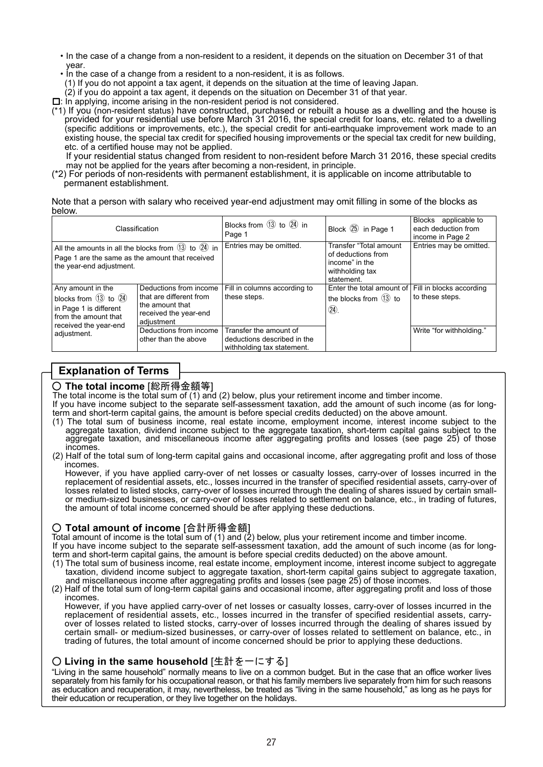- ・In the case of a change from a non-resident to a resident, it depends on the situation on December 31 of that year.
- ・In the case of a change from a resident to a non-resident, it is as follows.
- (1) If you do not appoint a tax agent, it depends on the situation at the time of leaving Japan.
- (2) if you do appoint a tax agent, it depends on the situation on December 31 of that year.

□: In applying, income arising in the non-resident period is not considered.

(\*1) If you (non-resident status) have constructed, purchased or rebuilt a house as a dwelling and the house is provided for your residential use before March 31 2016, the special credit for loans, etc. related to a dwelling (specific additions or improvements, etc.), the special credit for anti-earthquake improvement work made to an existing house, the special tax credit for specified housing improvements or the special tax credit for new building, etc. of a certified house may not be applied.

If your residential status changed from resident to non-resident before March 31 2016, these special credits may not be applied for the years after becoming a non-resident, in principle.

(\*2) For periods of non-residents with permanent establishment, it is applicable on income attributable to permanent establishment.

Note that a person with salary who received year-end adjustment may omit filling in some of the blocks as below.

|                                                                                                                                           | Classification                                                                                              | Blocks from $(13)$ to $(24)$ in<br>Page 1                                           | Block 25 in Page 1                                                                              | Blocks applicable to<br>each deduction from<br>income in Page 2 |
|-------------------------------------------------------------------------------------------------------------------------------------------|-------------------------------------------------------------------------------------------------------------|-------------------------------------------------------------------------------------|-------------------------------------------------------------------------------------------------|-----------------------------------------------------------------|
| All the amounts in all the blocks from $(13)$ to $(24)$ in<br>Page 1 are the same as the amount that received<br>the year-end adjustment. |                                                                                                             | Entries may be omitted.                                                             | Transfer "Total amount<br>of deductions from<br>income" in the<br>withholding tax<br>statement. | Entries may be omitted.                                         |
| Any amount in the<br>blocks from $(3)$ to $(24)$<br>in Page 1 is different<br>from the amount that<br>received the year-end               | Deductions from income<br>that are different from<br>the amount that<br>received the year-end<br>adjustment | Fill in columns according to<br>these steps.                                        | Enter the total amount of<br>the blocks from $(13)$ to<br>(24).                                 | Fill in blocks according<br>to these steps.                     |
| adjustment.                                                                                                                               | Deductions from income<br>other than the above                                                              | Transfer the amount of<br>deductions described in the<br>withholding tax statement. |                                                                                                 | Write "for withholding."                                        |

### **Explanation of Terms**

#### ○ **The total income** [総所得金額等]

The total income is the total sum of (1) and (2) below, plus your retirement income and timber income. If you have income subject to the separate self-assessment taxation, add the amount of such income (as for long-

- term and short-term capital gains, the amount is before special credits deducted) on the above amount.
- (1) The total sum of business income, real estate income, employment income, interest income subject to the aggregate taxation, dividend income subject to the aggregate taxation, short-term capital gains subject to the aggregate taxation, and miscellaneous income after aggregating profits and losses (see page 25) of those incomes.
- (2) Half of the total sum of long-term capital gains and occasional income, after aggregating profit and loss of those incomes.

However, if you have applied carry-over of net losses or casualty losses, carry-over of losses incurred in the replacement of residential assets, etc., losses incurred in the transfer of specified residential assets, carry-over of losses related to listed stocks, carry-over of losses incurred through the dealing of shares issued by certain smallor medium-sized businesses, or carry-over of losses related to settlement on balance, etc., in trading of futures, the amount of total income concerned should be after applying these deductions.

#### ○ **Total amount of income** [合計所得金額]

Total amount of income is the total sum of (1) and (2) below, plus your retirement income and timber income.

If you have income subject to the separate self-assessment taxation, add the amount of such income (as for longterm and short-term capital gains, the amount is before special credits deducted) on the above amount.

- (1) The total sum of business income, real estate income, employment income, interest income subject to aggregate taxation, dividend income subject to aggregate taxation, short-term capital gains subject to aggregate taxation, and miscellaneous income after aggregating profits and losses (see page 25) of those incomes.
- (2) Half of the total sum of long-term capital gains and occasional income, after aggregating profit and loss of those incomes.

However, if you have applied carry-over of net losses or casualty losses, carry-over of losses incurred in the replacement of residential assets, etc., losses incurred in the transfer of specified residential assets, carryover of losses related to listed stocks, carry-over of losses incurred through the dealing of shares issued by certain small- or medium-sized businesses, or carry-over of losses related to settlement on balance, etc., in trading of futures, the total amount of income concerned should be prior to applying these deductions.

#### ○ **Living in the same household** [生計を一にする]

"Living in the same household" normally means to live on a common budget. But in the case that an office worker lives separately from his family for his occupational reason, or that his family members live separately from him for such reasons as education and recuperation, it may, nevertheless, be treated as "living in the same household," as long as he pays for their education or recuperation, or they live together on the holidays.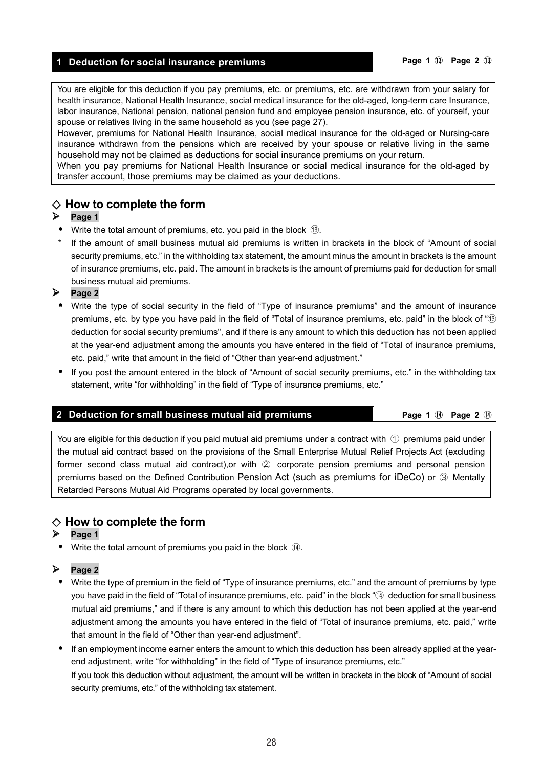#### **1 Deduction for social insurance premiums Page 1** ⑬ **Page 2** ⑬

You are eligible for this deduction if you pay premiums, etc. or premiums, etc. are withdrawn from your salary for health insurance, National Health Insurance, social medical insurance for the old-aged, long-term care Insurance, labor insurance, National pension, national pension fund and employee pension insurance, etc. of yourself, your spouse or relatives living in the same household as you (see page 27).

However, premiums for National Health Insurance, social medical insurance for the old-aged or Nursing-care insurance withdrawn from the pensions which are received by your spouse or relative living in the same household may not be claimed as deductions for social insurance premiums on your return.

When you pay premiums for National Health Insurance or social medical insurance for the old-aged by transfer account, those premiums may be claimed as your deductions.

#### ◇ **How to complete the form**

#### $\triangleright$  Page 1

- Write the total amount of premiums, etc. you paid in the block ⑬.
- \* If the amount of small business mutual aid premiums is written in brackets in the block of "Amount of social security premiums, etc." in the withholding tax statement, the amount minus the amount in brackets is the amount of insurance premiums, etc. paid. The amount in brackets is the amount of premiums paid for deduction for small business mutual aid premiums.

**Page 2** 

- Write the type of social security in the field of "Type of insurance premiums" and the amount of insurance premiums, etc. by type you have paid in the field of "Total of insurance premiums, etc. paid" in the block of "⑬ deduction for social security premiums", and if there is any amount to which this deduction has not been applied at the year-end adjustment among the amounts you have entered in the field of "Total of insurance premiums, etc. paid," write that amount in the field of "Other than year-end adjustment."
- If you post the amount entered in the block of "Amount of social security premiums, etc." in the withholding tax statement, write "for withholding" in the field of "Type of insurance premiums, etc."

#### **2 Deduction for small business mutual aid premiums <b>Page 1** Page 1 ⊕ **Page 2** ⊕

You are eligible for this deduction if you paid mutual aid premiums under a contract with  $\circled$  premiums paid under the mutual aid contract based on the provisions of the Small Enterprise Mutual Relief Projects Act (excluding former second class mutual aid contract),or with ② corporate pension premiums and personal pension premiums based on the Defined Contribution Pension Act (such as premiums for iDeCo) or ③ Mentally Retarded Persons Mutual Aid Programs operated by local governments.

#### ◇ **How to complete the form**

#### **Page 1**

Write the total amount of premiums you paid in the block  $(4)$ .

#### **Page 2**

- Write the type of premium in the field of "Type of insurance premiums, etc." and the amount of premiums by type you have paid in the field of "Total of insurance premiums, etc. paid" in the block "⑭ deduction for small business mutual aid premiums," and if there is any amount to which this deduction has not been applied at the year-end adjustment among the amounts you have entered in the field of "Total of insurance premiums, etc. paid," write that amount in the field of "Other than year-end adjustment".
- If an employment income earner enters the amount to which this deduction has been already applied at the yearend adjustment, write "for withholding" in the field of "Type of insurance premiums, etc." If you took this deduction without adjustment, the amount will be written in brackets in the block of "Amount of social security premiums, etc." of the withholding tax statement.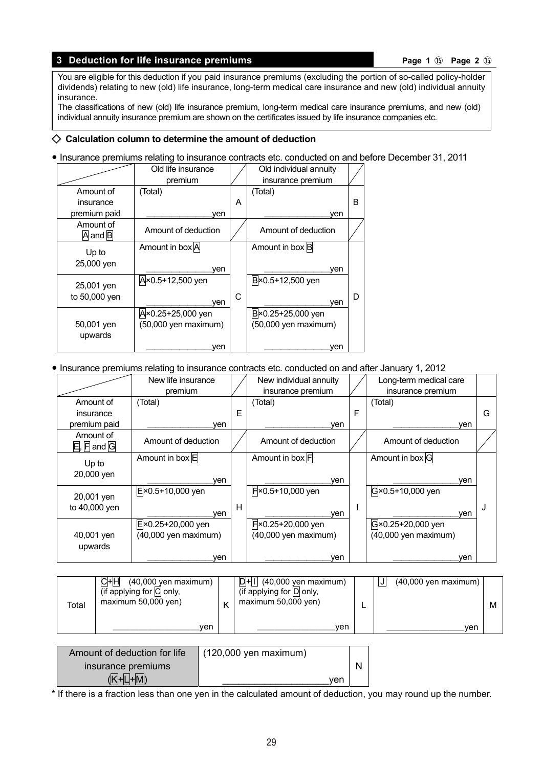#### **3 Deduction for life insurance premiums Page 1** ⑮ **Page 2** ⑮

You are eligible for this deduction if you paid insurance premiums (excluding the portion of so-called policy-holder dividends) relating to new (old) life insurance, long-term medical care insurance and new (old) individual annuity insurance.

The classifications of new (old) life insurance premium, long-term medical care insurance premiums, and new (old) individual annuity insurance premium are shown on the certificates issued by life insurance companies etc.

#### ◇ **Calculation column to determine the amount of deduction**

**•** Insurance premiums relating to insurance contracts etc. conducted on and before December 31, 2011

|                                                                | Old life insurance<br>premium                    |   | Old individual annuity<br>insurance premium        |   |
|----------------------------------------------------------------|--------------------------------------------------|---|----------------------------------------------------|---|
| Amount of<br>insurance                                         | (Total)                                          | A | (Total)                                            | в |
| premium paid<br>Amount of<br>$\overline{A}$ and $\overline{B}$ | ven<br>Amount of deduction                       |   | ven<br>Amount of deduction                         |   |
| Up to<br>25,000 yen                                            | Amount in box A<br>ven                           |   | Amount in box B<br>ven                             |   |
| 25,001 yen<br>to 50,000 yen                                    | A×0.5+12,500 yen<br>ven                          | С | B×0.5+12,500 yen<br>ven                            | D |
| 50,001 yen<br>upwards                                          | A×0.25+25,000 yen<br>(50,000 yen maximum)<br>ven |   | B × 0.25+25,000 yen<br>(50,000 yen maximum)<br>ven |   |

#### **•** Insurance premiums relating to insurance contracts etc. conducted on and after January 1, 2012

|                                                                 | New life insurance          |   | New individual annuity |   | Long-term medical care |   |
|-----------------------------------------------------------------|-----------------------------|---|------------------------|---|------------------------|---|
|                                                                 | premium                     |   | insurance premium      |   | insurance premium      |   |
| Amount of                                                       | (Total)                     |   | (Total)                |   | (Total)                |   |
| insurance                                                       |                             | Е |                        | F |                        | G |
| premium paid                                                    | ven                         |   | ven                    |   | ven                    |   |
| Amount of<br>$\overline{E}$ , $\overline{F}$ and $\overline{G}$ | Amount of deduction         |   | Amount of deduction    |   | Amount of deduction    |   |
| Up to                                                           | Amount in box E             |   | Amount in box F        |   | Amount in box G        |   |
| 20,000 yen                                                      | ven                         |   | ven                    |   | ven                    |   |
| 20,001 yen                                                      | $E \times 0.5 + 10,000$ yen |   | F × 0.5+10,000 yen     |   | G×0.5+10,000 yen       |   |
| to 40,000 yen                                                   | ven                         | Н | ven                    |   | ven                    |   |
|                                                                 | E × 0.25+20,000 yen         |   | F × 0.25+20,000 yen    |   | G×0.25+20,000 yen      |   |
| 40,001 yen                                                      | (40,000 yen maximum)        |   | (40,000 yen maximum)   |   | (40,000 yen maximum)   |   |
| upwards                                                         |                             |   |                        |   |                        |   |
|                                                                 | ven                         |   | ven                    |   | ven                    |   |

| Total | CHH<br>$(40,000$ yen maximum $)$<br>(if applying for C only,<br>maximum $50,000$ yen) | $D+1$ (40,000 yen maximum)<br>(if applying for D only,<br>maximum $50,000$ yen) |  | $(40,000$ yen maximum) | M |
|-------|---------------------------------------------------------------------------------------|---------------------------------------------------------------------------------|--|------------------------|---|
|       | ven                                                                                   | ven                                                                             |  | ven                    |   |

| Amount of deduction for life | $(120,000$ yen maximum) |  |
|------------------------------|-------------------------|--|
| insurance premiums           |                         |  |
| (K⊦L⊦M)                      | ver                     |  |

\* If there is a fraction less than one yen in the calculated amount of deduction, you may round up the number.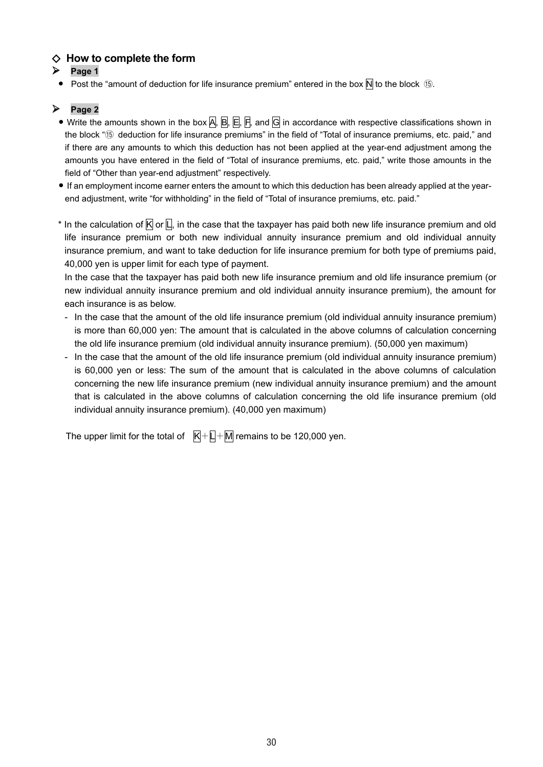### ◇ **How to complete the form**

- $\triangleright$  Page 1
	- Post the "amount of deduction for life insurance premium" entered in the box  $\overline{N}$  to the block **15**.

#### **Page 2**

- **•** Write the amounts shown in the box A, B, E, F, and G in accordance with respective classifications shown in the block "⑮ deduction for life insurance premiums" in the field of "Total of insurance premiums, etc. paid," and if there are any amounts to which this deduction has not been applied at the year-end adjustment among the amounts you have entered in the field of "Total of insurance premiums, etc. paid," write those amounts in the field of "Other than year-end adjustment" respectively.
- **•** If an employment income earner enters the amount to which this deduction has been already applied at the yearend adjustment, write "for withholding" in the field of "Total of insurance premiums, etc. paid."
- \* In the calculation of  $\overline{K}$  or  $\overline{L}$ , in the case that the taxpayer has paid both new life insurance premium and old life insurance premium or both new individual annuity insurance premium and old individual annuity insurance premium, and want to take deduction for life insurance premium for both type of premiums paid, 40,000 yen is upper limit for each type of payment.

 In the case that the taxpayer has paid both new life insurance premium and old life insurance premium (or new individual annuity insurance premium and old individual annuity insurance premium), the amount for each insurance is as below.

- In the case that the amount of the old life insurance premium (old individual annuity insurance premium) is more than 60,000 yen: The amount that is calculated in the above columns of calculation concerning the old life insurance premium (old individual annuity insurance premium). (50,000 yen maximum)
- In the case that the amount of the old life insurance premium (old individual annuity insurance premium) is 60,000 yen or less: The sum of the amount that is calculated in the above columns of calculation concerning the new life insurance premium (new individual annuity insurance premium) and the amount that is calculated in the above columns of calculation concerning the old life insurance premium (old individual annuity insurance premium). (40,000 yen maximum)

The upper limit for the total of  $\overline{K} + \overline{L} + \overline{M}$  remains to be 120,000 yen.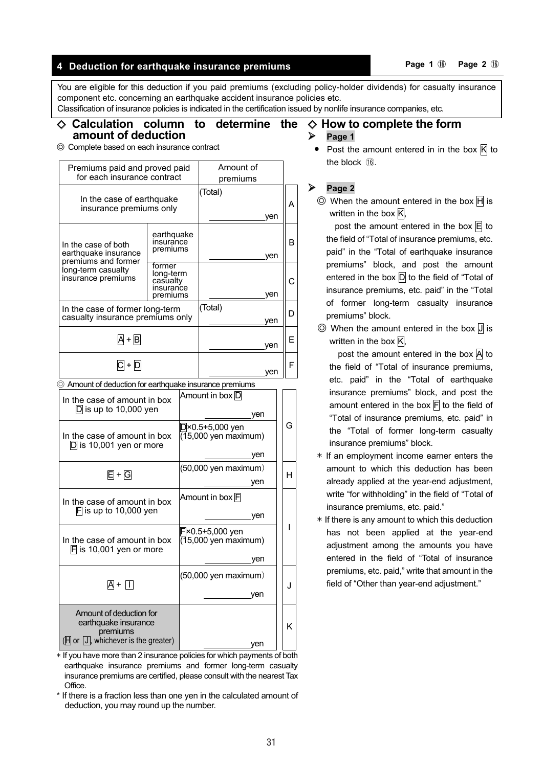# **4 Deduction for earthquake insurance premiums Page 1** ⑯ **Page 2**<sup>⑯</sup>

You are eligible for this deduction if you paid premiums (excluding policy-holder dividends) for casualty insurance component etc. concerning an earthquake accident insurance policies etc.

Classification of insurance policies is indicated in the certification issued by nonlife insurance companies, etc.

#### ◇ **Calculation column to determine the amount of deduction**  ◇ **How to complete the form Page 1**

◎ Complete based on each insurance contract

| Premiums paid and proved paid<br>for each insurance contract        | Amount of<br>premiums                                    |         |     |   |
|---------------------------------------------------------------------|----------------------------------------------------------|---------|-----|---|
| In the case of earthquake<br>insurance premiums only                | (Total)                                                  | yen     | А   |   |
| In the case of both<br>earthquake insurance                         | earthquake<br>insurance<br>premiums                      |         | ven | в |
| premiums and former<br>long-term casualty<br>insurance premiums     | former<br>long-term<br>casualty<br>insurance<br>premiums |         | ven |   |
| In the case of former long-term<br>casualty insurance premiums only |                                                          | (Total) | yen | ח |
| A + B                                                               |                                                          | yen     | F   |   |
|                                                                     |                                                          | ven     | F   |   |

◎ Amount of deduction for earthquake insurance premiums

| In the case of amount in box<br>$D$ is up to 10,000 yen                                            | Amount in box <mark>D</mark><br>ven         |     |
|----------------------------------------------------------------------------------------------------|---------------------------------------------|-----|
| In the case of amount in box<br>$D$ is 10,001 yen or more                                          | D×0.5+5,000 yen<br>(15,000 yen maximum)     | G   |
|                                                                                                    | ven                                         |     |
| 日+ G                                                                                               | (50,000 yen maximum)                        | н   |
|                                                                                                    | ven                                         |     |
| In the case of amount in box                                                                       | Amount in box F                             |     |
| $ F $ is up to 10,000 yen                                                                          | yen                                         |     |
| In the case of amount in box<br>$\mathsf F$ is 10,001 yen or more                                  | lFl×0.5+5,000 yen<br>$(15,000$ yen maximum) |     |
|                                                                                                    | ven                                         |     |
| $\overline{A} + \overline{H}$                                                                      | (50,000 yen maximum)                        | . I |
|                                                                                                    | ven                                         |     |
| Amount of deduction for<br>earthquake insurance<br>premiums<br>(H or  J, whichever is the greater) | ven                                         | ĸ   |

 $*$  If you have more than 2 insurance policies for which payments of both earthquake insurance premiums and former long-term casualty insurance premiums are certified, please consult with the nearest Tax Office.

\* If there is a fraction less than one yen in the calculated amount of deduction, you may round up the number.

Post the amount entered in in the box  $\overline{K}$  to the block  $(16)$ .

#### **Page 2**

 $\circledcirc$  When the amount entered in the box  $\mathsf{H}$  is written in the box  $\overline{K}$ ,

post the amount entered in the box  $E$  to the field of "Total of insurance premiums, etc. paid" in the "Total of earthquake insurance premiums" block, and post the amount entered in the box  $\overline{D}$  to the field of "Total of insurance premiums, etc. paid" in the "Total of former long-term casualty insurance premiums" block.

 $\circledcirc$  When the amount entered in the box  $\overline{J}$  is written in the box  $K$ ,

post the amount entered in the box  $\overline{A}$  to the field of "Total of insurance premiums, etc. paid" in the "Total of earthquake insurance premiums" block, and post the amount entered in the box  $\overline{F}$  to the field of "Total of insurance premiums, etc. paid" in the "Total of former long-term casualty insurance premiums" block.

- $*$  If an employment income earner enters the amount to which this deduction has been already applied at the year-end adjustment, write "for withholding" in the field of "Total of insurance premiums, etc. paid."
- $*$  If there is any amount to which this deduction has not been applied at the year-end adjustment among the amounts you have entered in the field of "Total of insurance premiums, etc. paid," write that amount in the field of "Other than year-end adjustment."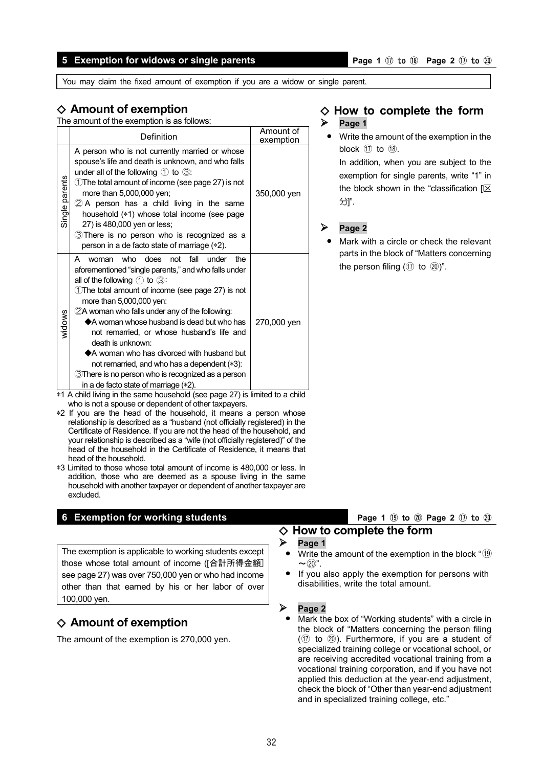#### **5 Exemption for widows or single parents Page 1**  $\oplus$  **Page 1**  $\oplus$  **Page 2**  $\oplus$  to  $\oplus$

You may claim the fixed amount of exemption if you are a widow or single parent.

### ◇ **Amount of exemption**

The amount of the exemption is as follows:

|                | Definition                                                                                                                                                                                                                                                                                                                                                                                                                                                                                                                                                                                                                           | Amount of<br>exemption |
|----------------|--------------------------------------------------------------------------------------------------------------------------------------------------------------------------------------------------------------------------------------------------------------------------------------------------------------------------------------------------------------------------------------------------------------------------------------------------------------------------------------------------------------------------------------------------------------------------------------------------------------------------------------|------------------------|
| Single parents | A person who is not currently married or whose<br>spouse's life and death is unknown, and who falls<br>under all of the following $\bigcirc$ to $\bigcirc$ :<br>①The total amount of income (see page 27) is not<br>more than 5,000,000 yen;<br>$\oslash$ A person has a child living in the same<br>household (*1) whose total income (see page<br>27) is 480,000 yen or less;<br>3 There is no person who is recognized as a<br>person in a de facto state of marriage (*2).                                                                                                                                                       | 350,000 yen            |
| widows         | who does<br>fall<br>under<br>the<br>not<br>A<br>woman<br>aforementioned "single parents," and who falls under<br>all of the following $(1)$ to $(3)$ :<br>1) The total amount of income (see page 27) is not<br>more than 5,000,000 yen:<br>2A woman who falls under any of the following:<br>$\triangle$ A woman whose husband is dead but who has<br>not remarried, or whose husband's life and<br>death is unknown:<br>$\triangle$ A woman who has divorced with husband but<br>not remarried, and who has a dependent (*3):<br><b>3There is no person who is recognized as a person</b><br>in a de facto state of marriage (*2). | 270,000 yen            |

 $*1$  A child living in the same household (see page 27) is limited to a child who is not a spouse or dependent of other taxpayers.

- \*2 If you are the head of the household, it means a person whose relationship is described as a "husband (not officially registered) in the Certificate of Residence. If you are not the head of the household, and your relationship is described as a "wife (not officially registered)" of the head of the household in the Certificate of Residence, it means that head of the household.
- \*3 Limited to those whose total amount of income is 480,000 or less. In addition, those who are deemed as a spouse living in the same household with another taxpayer or dependent of another taxpayer are excluded.

#### **6 Exemption for working students Page 1 Page 1 I** to 2 **D** to 2 **D**

The exemption is applicable to working students except those whose total amount of income ([合計所得金額] see page 27) was over 750,000 yen or who had income other than that earned by his or her labor of over 100,000 yen.

# ◇ **Amount of exemption**

The amount of the exemption is 270,000 yen.

#### ◇ **How to complete the form Page 1**

**•** Write the amount of the exemption in the block  $(17)$  to  $(18)$ .

In addition, when you are subject to the exemption for single parents, write "1" in the block shown in the "classification [区 分]".

### **Page 2**

**•** Mark with a circle or check the relevant parts in the block of "Matters concerning the person filing  $(①$  to  $②)$ ".

# ◇ **How to complete the form**

#### **Page 1**

- **Write the amount of the exemption in the block "(19)**  $\sim$  (20".
- **•** If you also apply the exemption for persons with disabilities, write the total amount.

#### **Page 2**

**•** Mark the box of "Working students" with a circle in the block of "Matters concerning the person filing  $(①$  to  $②$ ). Furthermore, if you are a student of specialized training college or vocational school, or are receiving accredited vocational training from a vocational training corporation, and if you have not applied this deduction at the year-end adjustment, check the block of "Other than year-end adjustment and in specialized training college, etc."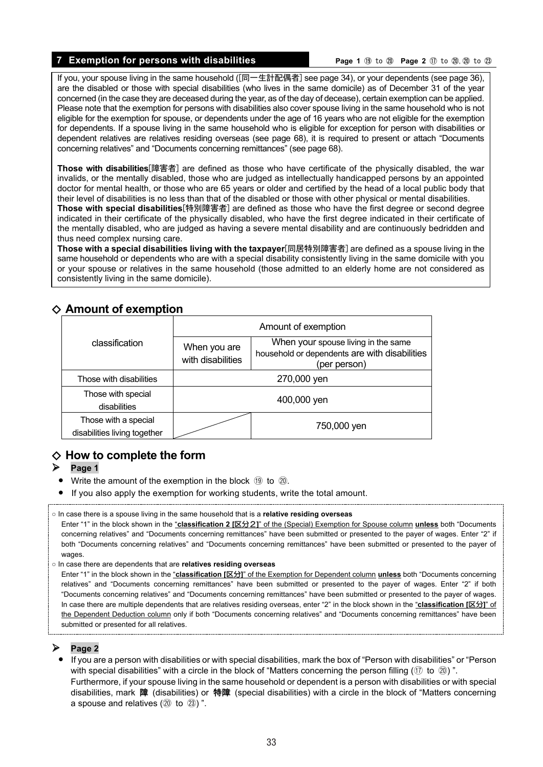#### **7 Exemption for persons with disabilities Page 1 D Page 1 D Page 2** *①* to ②, ② to ②

If you, your spouse living in the same household ([同一生計配偶者] see page 34), or your dependents (see page 36), are the disabled or those with special disabilities (who lives in the same domicile) as of December 31 of the year concerned (in the case they are deceased during the year, as of the day of decease), certain exemption can be applied. Please note that the exemption for persons with disabilities also cover spouse living in the same household who is not eligible for the exemption for spouse, or dependents under the age of 16 years who are not eligible for the exemption for dependents. If a spouse living in the same household who is eligible for exception for person with disabilities or dependent relatives are relatives residing overseas (see page 68), it is required to present or attach "Documents concerning relatives" and "Documents concerning remittances" (see page 68).

**Those with disabilities**[障害者] are defined as those who have certificate of the physically disabled, the war invalids, or the mentally disabled, those who are judged as intellectually handicapped persons by an appointed doctor for mental health, or those who are 65 years or older and certified by the head of a local public body that their level of disabilities is no less than that of the disabled or those with other physical or mental disabilities.

**Those with special disabilities**[特別障害者] are defined as those who have the first degree or second degree indicated in their certificate of the physically disabled, who have the first degree indicated in their certificate of the mentally disabled, who are judged as having a severe mental disability and are continuously bedridden and thus need complex nursing care.

**Those with a special disabilities living with the taxpayer**[同居特別障害者] are defined as a spouse living in the same household or dependents who are with a special disability consistently living in the same domicile with you or your spouse or relatives in the same household (those admitted to an elderly home are not considered as consistently living in the same domicile).

### ◇ **Amount of exemption**

|                                                      | Amount of exemption               |                                                                                                      |  |  |
|------------------------------------------------------|-----------------------------------|------------------------------------------------------------------------------------------------------|--|--|
| classification                                       | When you are<br>with disabilities | When your spouse living in the same<br>household or dependents are with disabilities<br>(per person) |  |  |
| Those with disabilities                              | 270,000 yen                       |                                                                                                      |  |  |
| Those with special<br>disabilities                   | 400,000 yen                       |                                                                                                      |  |  |
| Those with a special<br>disabilities living together |                                   | 750,000 yen                                                                                          |  |  |

# ◇ **How to complete the form**

#### $\triangleright$  Page 1

- **•** Write the amount of the exemption in the block  $\circled{9}$  to  $\circled{20}$ .
- **•** If you also apply the exemption for working students, write the total amount.
- In case there is a spouse living in the same household that is a **relative residing overseas**
- Enter "1" in the block shown in the "**classification 2 [**区分2**]**" of the (Special) Exemption for Spouse column **unless** both "Documents concerning relatives" and "Documents concerning remittances" have been submitted or presented to the payer of wages. Enter "2" if both "Documents concerning relatives" and "Documents concerning remittances" have been submitted or presented to the payer of wages.
- In case there are dependents that are **relatives residing overseas**

Enter "1" in the block shown in the "**classification [**区分**]**" of the Exemption for Dependent column **unless** both "Documents concerning relatives" and "Documents concerning remittances" have been submitted or presented to the payer of wages. Enter "2" if both "Documents concerning relatives" and "Documents concerning remittances" have been submitted or presented to the payer of wages. In case there are multiple dependents that are relatives residing overseas, enter "2" in the block shown in the "**classification [**区分**]**" of the Dependent Deduction column only if both "Documents concerning relatives" and "Documents concerning remittances" have been submitted or presented for all relatives.

#### **Page 2**

**•** If you are a person with disabilities or with special disabilities, mark the box of "Person with disabilities" or "Person with special disabilities" with a circle in the block of "Matters concerning the person filling ( $\textcircled{1}$  to  $\textcircled{2}$ )". Furthermore, if your spouse living in the same household or dependent is a person with disabilities or with special disabilities, mark 障 (disabilities) or 特障 (special disabilities) with a circle in the block of "Matters concerning a spouse and relatives  $(20 \text{ to } 23)$ ".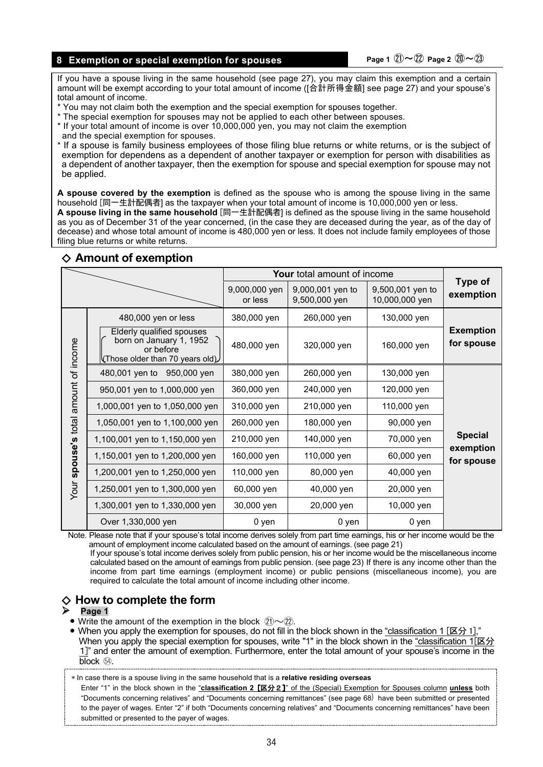#### **8 Exemption or special exemption for spouses Page 1**  $\mathbb{Z}$  **Page 2**  $\mathbb{Z}$   $\sim$   $\mathbb{Z}$

If you have a spouse living in the same household (see page 27), you may claim this exemption and a certain amount will be exempt according to your total amount of income ([合計所得金額] see page 27) and your spouse's total amount of income.

- \* You may not claim both the exemption and the special exemption for spouses together.
- \* The special exemption for spouses may not be applied to each other between spouses.
- \* If your total amount of income is over 10,000,000 yen, you may not claim the exemption
- and the special exemption for spouses.
- \* If a spouse is family business employees of those filing blue returns or white returns, or is the subject of exemption for dependens as a dependent of another taxpayer or exemption for person with disabilities as a dependent of another taxpayer, then the exemption for spouse and special exemption for spouse may not be applied.

**A spouse covered by the exemption** is defined as the spouse who is among the spouse living in the same household [同一生計配偶者] as the taxpayer when your total amount of income is 10,000,000 yen or less. **A spouse living in the same household** [同一生計配偶者] is defined as the spouse living in the same household as you as of December 31 of the year concerned, (in the case they are deceased during the year, as of the day of decease) and whose total amount of income is 480,000 yen or less. It does not include family employees of those filing blue returns or white returns.

|                                 |                                                                                                               |                          | <b>Your</b> total amount of income |                                    |                                |
|---------------------------------|---------------------------------------------------------------------------------------------------------------|--------------------------|------------------------------------|------------------------------------|--------------------------------|
|                                 |                                                                                                               | 9,000,000 yen<br>or less | 9,000,001 yen to<br>9,500,000 yen  | 9,500,001 yen to<br>10,000,000 yen | Type of<br>exemption           |
|                                 | 480,000 yen or less                                                                                           | 380,000 yen              | 260,000 yen                        | 130,000 yen                        |                                |
| spouse's total amount of income | Elderly qualified spouses<br>born on January 1, 1952<br>or before<br>$\forall$ Those older than 70 years old) | 480,000 yen              | 320,000 yen                        | 160,000 yen                        | <b>Exemption</b><br>for spouse |
|                                 | 480,001 yen to 950,000 yen                                                                                    | 380,000 yen              | 260,000 yen                        | 130,000 yen                        |                                |
|                                 | 950,001 yen to 1,000,000 yen                                                                                  | 360,000 yen              | 240,000 yen                        | 120,000 yen                        |                                |
|                                 | 1,000,001 yen to 1,050,000 yen                                                                                | 310,000 yen              | 210,000 yen                        | 110,000 yen                        |                                |
|                                 | 1,050,001 yen to 1,100,000 yen                                                                                | 260,000 yen              | 180,000 yen                        | 90,000 yen                         |                                |
|                                 | 1,100,001 yen to 1,150,000 yen                                                                                | 210,000 yen              | 140,000 yen                        | 70,000 yen                         | <b>Special</b>                 |
|                                 | 1,150,001 yen to 1,200,000 yen                                                                                | 160,000 yen              | 110,000 yen                        | 60,000 yen                         | exemption<br>for spouse        |
|                                 | 1,200,001 yen to 1,250,000 yen                                                                                | 110,000 yen              | 80,000 yen                         | 40,000 yen                         |                                |
| Your                            | 1,250,001 yen to 1,300,000 yen                                                                                | 60,000 yen               | 40,000 yen                         | 20,000 yen                         |                                |
|                                 | 1,300,001 yen to 1,330,000 yen                                                                                | 30,000 yen               | 20,000 yen                         | 10,000 yen                         |                                |
|                                 | Over 1,330,000 yen                                                                                            | 0 yen                    | 0 yen                              | 0 yen                              |                                |

#### ◇ **Amount of exemption**

Note. Please note that if your spouse's total income derives solely from part time earnings, his or her income would be the amount of employment income calculated based on the amount of earnings. (see page 21)

If your spouse's total income derives solely from public pension, his or her income would be the miscellaneous income calculated based on the amount of earnings from public pension. (see page 23) If there is any income other than the income from part time earnings (employment income) or public pensions (miscellaneous income), you are required to calculate the total amount of income including other income.

# ◇ **How to complete the form Page 1**

- Write the amount of the exemption in the block  $\hat{z}$ <sub>1</sub> $\sim$  $\hat{z}$ <sub>2</sub>).
- **•** When you apply the exemption for spouses, do not fill in the block shown in the "classification 1 [区分 1]," When you apply the special exemption for spouses, write "1" in the block shown in the "classification 1[区分 1]" and enter the amount of exemption. Furthermore, enter the total amount of your spouse's income in the block <sup>54</sup>.

\* In case there is a spouse living in the same household that is a **relative residing overseas**

Enter "1" in the block shown in the "**classification 2** [区分2]" of the (Special) Exemption for Spouses column **unless** both "Documents concerning relatives" and "Documents concerning remittances" (see page 68) have been submitted or presented to the payer of wages. Enter "2" if both "Documents concerning relatives" and "Documents concerning remittances" have been submitted or presented to the payer of wages.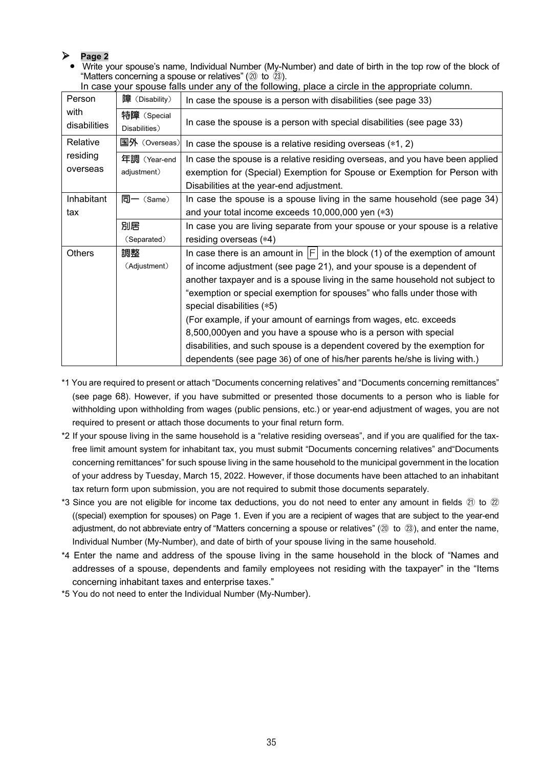#### **Page 2**

**•** Write your spouse's name, Individual Number (My-Number) and date of birth in the top row of the block of "Matters concerning a spouse or relatives" ( $\omega$  to  $\tilde{\omega}$ ).

| Person               | 障 (Disability)               | In case the spouse is a person with disabilities (see page 33)                                                                                                                                                                                                                                                                                                                                                                                                                                                                                                                                                                                      |
|----------------------|------------------------------|-----------------------------------------------------------------------------------------------------------------------------------------------------------------------------------------------------------------------------------------------------------------------------------------------------------------------------------------------------------------------------------------------------------------------------------------------------------------------------------------------------------------------------------------------------------------------------------------------------------------------------------------------------|
| with<br>disabilities | 特障 (Special<br>Disabilities) | In case the spouse is a person with special disabilities (see page 33)                                                                                                                                                                                                                                                                                                                                                                                                                                                                                                                                                                              |
| Relative             | 国外 (Overseas)                | In case the spouse is a relative residing overseas $(*1, 2)$                                                                                                                                                                                                                                                                                                                                                                                                                                                                                                                                                                                        |
| residing<br>overseas | 年調 (Year-end<br>adjustment)  | In case the spouse is a relative residing overseas, and you have been applied<br>exemption for (Special) Exemption for Spouse or Exemption for Person with<br>Disabilities at the year-end adjustment.                                                                                                                                                                                                                                                                                                                                                                                                                                              |
| Inhabitant           | $\overline{q}$ (Same)        | In case the spouse is a spouse living in the same household (see page 34)                                                                                                                                                                                                                                                                                                                                                                                                                                                                                                                                                                           |
| tax                  |                              | and your total income exceeds 10,000,000 yen (*3)                                                                                                                                                                                                                                                                                                                                                                                                                                                                                                                                                                                                   |
|                      | 別居                           | In case you are living separate from your spouse or your spouse is a relative                                                                                                                                                                                                                                                                                                                                                                                                                                                                                                                                                                       |
|                      | (Separated)                  | residing overseas (*4)                                                                                                                                                                                                                                                                                                                                                                                                                                                                                                                                                                                                                              |
| <b>Others</b>        | 調整<br>(Adjustment)           | In case there is an amount in $ F $ in the block (1) of the exemption of amount<br>of income adjustment (see page 21), and your spouse is a dependent of<br>another taxpayer and is a spouse living in the same household not subject to<br>"exemption or special exemption for spouses" who falls under those with<br>special disabilities (*5)<br>(For example, if your amount of earnings from wages, etc. exceeds<br>8,500,000yen and you have a spouse who is a person with special<br>disabilities, and such spouse is a dependent covered by the exemption for<br>dependents (see page 36) of one of his/her parents he/she is living with.) |

In case your spouse falls under any of the following, place a circle in the appropriate column.

- \*1 You are required to present or attach "Documents concerning relatives" and "Documents concerning remittances" (see page 68). However, if you have submitted or presented those documents to a person who is liable for withholding upon withholding from wages (public pensions, etc.) or year-end adjustment of wages, you are not required to present or attach those documents to your final return form.
- \*2 If your spouse living in the same household is a "relative residing overseas", and if you are qualified for the taxfree limit amount system for inhabitant tax, you must submit "Documents concerning relatives" and"Documents concerning remittances" for such spouse living in the same household to the municipal government in the location of your address by Tuesday, March 15, 2022. However, if those documents have been attached to an inhabitant tax return form upon submission, you are not required to submit those documents separately.
- \*3 Since you are not eligible for income tax deductions, you do not need to enter any amount in fields  $@$  to  $@$ ((special) exemption for spouses) on Page 1. Even if you are a recipient of wages that are subject to the year-end adjustment, do not abbreviate entry of "Matters concerning a spouse or relatives" (20 to 23), and enter the name, Individual Number (My-Number), and date of birth of your spouse living in the same household.
- \*4 Enter the name and address of the spouse living in the same household in the block of "Names and addresses of a spouse, dependents and family employees not residing with the taxpayer" in the "Items concerning inhabitant taxes and enterprise taxes."
- \*5 You do not need to enter the Individual Number (My-Number).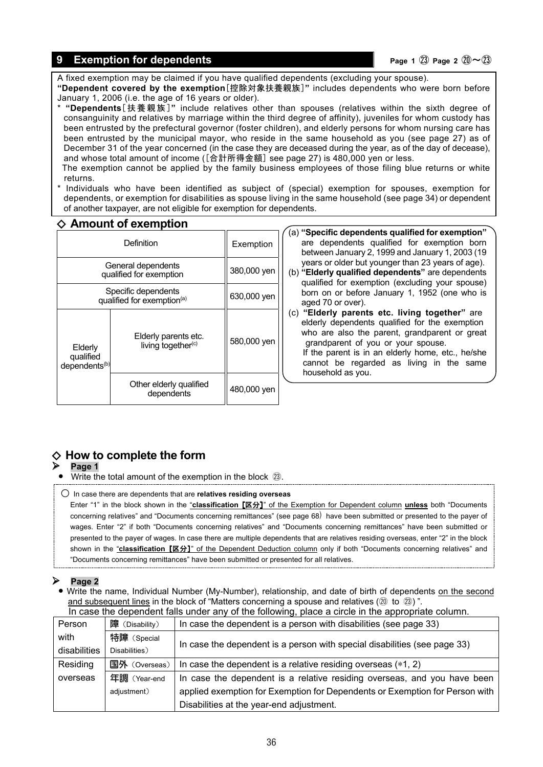### **9 Exemption for dependents Page 1**  $(2)$  **Page 1**  $(3)$  **Page 2**  $(2) \sim (2)$

A fixed exemption may be claimed if you have qualified dependents (excluding your spouse). **"Dependent covered by the exemption**[控除対象扶養親族]**"** includes dependents who were born before

January 1, 2006 (i.e. the age of 16 years or older).

\* **"Dependents**[扶養親族]**"** include relatives other than spouses (relatives within the sixth degree of consanguinity and relatives by marriage within the third degree of affinity), juveniles for whom custody has been entrusted by the prefectural governor (foster children), and elderly persons for whom nursing care has been entrusted by the municipal mayor, who reside in the same household as you (see page 27) as of December 31 of the year concerned (in the case they are deceased during the year, as of the day of decease), and whose total amount of income ([合計所得金額] see page 27) is 480,000 yen or less.

The exemption cannot be applied by the family business employees of those filing blue returns or white returns.

Individuals who have been identified as subject of (special) exemption for spouses, exemption for dependents, or exemption for disabilities as spouse living in the same household (see page 34) or dependent of another taxpayer, are not eligible for exemption for dependents.

### ◇ **Amount of exemption**

| Definition                                                    |                                                        | Exemption   |
|---------------------------------------------------------------|--------------------------------------------------------|-------------|
| General dependents<br>qualified for exemption                 |                                                        | 380,000 yen |
| Specific dependents<br>qualified for exemption <sup>(a)</sup> |                                                        | 630,000 yen |
| Elderly<br>qualified<br>dependents <sup>(b)</sup>             | Elderly parents etc.<br>living together <sup>(c)</sup> | 580,000 yen |
|                                                               | Other elderly qualified<br>dependents                  | 480,000 yen |

- (a) **"Specific dependents qualified for exemption"** are dependents qualified for exemption born between January 2, 1999 and January 1, 2003 (19 years or older but younger than 23 years of age).
- (b) **"Elderly qualified dependents"** are dependents qualified for exemption (excluding your spouse) born on or before January 1, 1952 (one who is aged 70 or over).
- (c) **"Elderly parents etc. living together"** are elderly dependents qualified for the exemption who are also the parent, grandparent or great grandparent of you or your spouse. If the parent is in an elderly home, etc., he/she cannot be regarded as living in the same household as you.

# ◇ **How to complete the form**

#### **Page 1**

- **•** Write the total amount of the exemption in the block ㉓.
- In case there are dependents that are **relatives residing overseas**

Enter "1" in the block shown in the "**classification** [区分]" of the Exemption for Dependent column **unless** both "Documents concerning relatives" and "Documents concerning remittances" (see page 68) have been submitted or presented to the payer of wages. Enter "2" if both "Documents concerning relatives" and "Documents concerning remittances" have been submitted or presented to the payer of wages. In case there are multiple dependents that are relatives residing overseas, enter "2" in the block shown in the "**classification** [区分]" of the Dependent Deduction column only if both "Documents concerning relatives" and "Documents concerning remittances" have been submitted or presented for all relatives.

#### **Page 2**

**•** Write the name, Individual Number (My-Number), relationship, and date of birth of dependents on the second and subsequent lines in the block of "Matters concerning a spouse and relatives  $(20 \text{ to } 23)$ ". In case the dependent falls under any of the following, place a circle in the appropriate column

| The babb and appointed in range and any or and rond ming, place a choice in and appropriate column. |                |                                                                             |  |
|-----------------------------------------------------------------------------------------------------|----------------|-----------------------------------------------------------------------------|--|
| Person                                                                                              | 障 (Disability) | In case the dependent is a person with disabilities (see page 33)           |  |
| with                                                                                                | 特障 (Special    |                                                                             |  |
| disabilities                                                                                        | Disabilities)  | In case the dependent is a person with special disabilities (see page 33)   |  |
| Residing                                                                                            | 国外 (Overseas)  | In case the dependent is a relative residing overseas $(*1, 2)$             |  |
| overseas                                                                                            | 年調 (Year-end   | In case the dependent is a relative residing overseas, and you have been    |  |
|                                                                                                     | adjustment)    | applied exemption for Exemption for Dependents or Exemption for Person with |  |
|                                                                                                     |                | Disabilities at the year-end adjustment.                                    |  |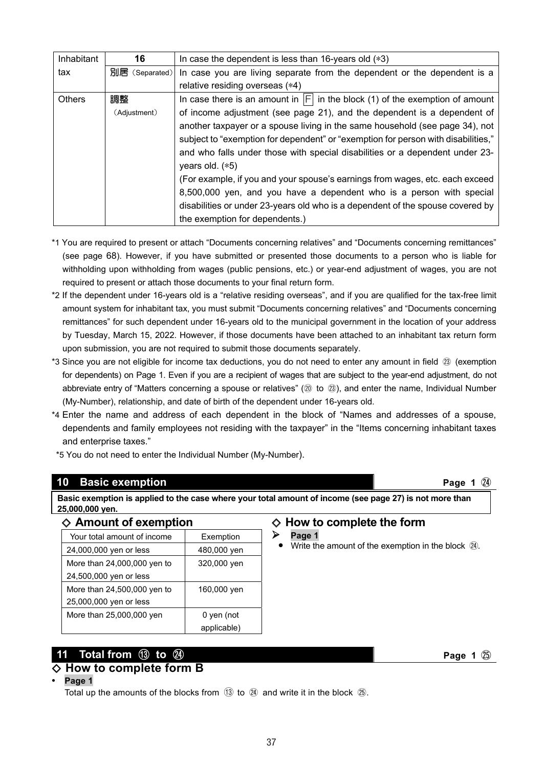| Inhabitant    | 16             | In case the dependent is less than 16-years old (*3)                              |  |
|---------------|----------------|-----------------------------------------------------------------------------------|--|
| tax           | 別居 (Separated) | In case you are living separate from the dependent or the dependent is a          |  |
|               |                | relative residing overseas (*4)                                                   |  |
| <b>Others</b> | 調整             | In case there is an amount in $ F $ in the block (1) of the exemption of amount   |  |
|               | (Adjustment)   | of income adjustment (see page 21), and the dependent is a dependent of           |  |
|               |                | another taxpayer or a spouse living in the same household (see page 34), not      |  |
|               |                | subject to "exemption for dependent" or "exemption for person with disabilities," |  |
|               |                | and who falls under those with special disabilities or a dependent under 23-      |  |
|               |                | years old. $(*5)$                                                                 |  |
|               |                | (For example, if you and your spouse's earnings from wages, etc. each exceed      |  |
|               |                | 8,500,000 yen, and you have a dependent who is a person with special              |  |
|               |                | disabilities or under 23-years old who is a dependent of the spouse covered by    |  |
|               |                | the exemption for dependents.)                                                    |  |

- \*1 You are required to present or attach "Documents concerning relatives" and "Documents concerning remittances" (see page 68). However, if you have submitted or presented those documents to a person who is liable for withholding upon withholding from wages (public pensions, etc.) or year-end adjustment of wages, you are not required to present or attach those documents to your final return form.
- \*2 If the dependent under 16-years old is a "relative residing overseas", and if you are qualified for the tax-free limit amount system for inhabitant tax, you must submit "Documents concerning relatives" and "Documents concerning remittances" for such dependent under 16-years old to the municipal government in the location of your address by Tuesday, March 15, 2022. However, if those documents have been attached to an inhabitant tax return form upon submission, you are not required to submit those documents separately.
- \*3 Since you are not eligible for income tax deductions, you do not need to enter any amount in field ㉓ (exemption for dependents) on Page 1. Even if you are a recipient of wages that are subject to the year-end adjustment, do not abbreviate entry of "Matters concerning a spouse or relatives" (⑳ to ㉓), and enter the name, Individual Number (My-Number), relationship, and date of birth of the dependent under 16-years old.
- \*4 Enter the name and address of each dependent in the block of "Names and addresses of a spouse, dependents and family employees not residing with the taxpayer" in the "Items concerning inhabitant taxes and enterprise taxes."
- \*5 You do not need to enter the Individual Number (My-Number).

#### **10 Basic exemption All and Security Contract Contract Contract Contract Contract Contract Contract Contract Contract Contract Contract Contract Contract Contract Contract Contract Contract Contract Contract Contract Contr**

◇ **Amount of exemption**

**Basic exemption is applied to the case where your total amount of income (see page 27) is not more than 25,000,000 yen.**

#### Your total amount of income Faxemption 24,000,000 yen or less | 480,000 yen More than 24,000,000 yen to 24,500,000 yen or less 320,000 yen More than 24,500,000 yen to 25,000,000 yen or less 160,000 yen More than  $25,000,000$  yen  $\vert$  0 yen (not applicable)

# **11 Total from** ⑬ **to** ㉔ **Page 1** ㉕

# ◇ **How to complete form B**

#### **• Page 1**

Total up the amounts of the blocks from  $(1)$  to  $(2)$  and write it in the block  $(2)$ .

### ◇ **How to complete the form**

- $\triangleright$  Page 1
	- **Write the amount of the exemption in the block**  $\Omega$ **.**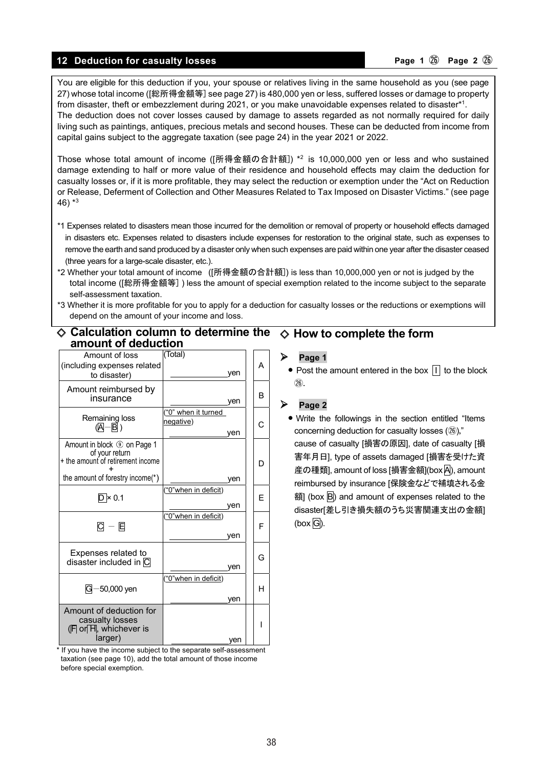#### **12 Deduction for casualty losses According to Page 1**  $\omega$  Page 2  $\omega$

You are eligible for this deduction if you, your spouse or relatives living in the same household as you (see page 27) whose total income ([総所得金額等] see page 27) is 480,000 yen or less, suffered losses or damage to property from disaster, theft or embezzlement during 2021, or you make unavoidable expenses related to disaster\*1 . The deduction does not cover losses caused by damage to assets regarded as not normally required for daily living such as paintings, antiques, precious metals and second houses. These can be deducted from income from capital gains subject to the aggregate taxation (see page 24) in the year 2021 or 2022.

Those whose total amount of income ([所得金額の合計額]) \*2 is 10,000,000 yen or less and who sustained damage extending to half or more value of their residence and household effects may claim the deduction for casualty losses or, if it is more profitable, they may select the reduction or exemption under the "Act on Reduction or Release, Deferment of Collection and Other Measures Related to Tax Imposed on Disaster Victims." (see page 46)  $*3$ 

- \*1 Expenses related to disasters mean those incurred for the demolition or removal of property or household effects damaged in disasters etc. Expenses related to disasters include expenses for restoration to the original state, such as expenses to remove the earth and sand produced by a disaster only when such expenses are paid within one year after the disaster ceased (three years for a large-scale disaster, etc.).
- \*2 Whether your total amount of income ([所得金額の合計額]) is less than 10,000,000 yen or not is judged by the total income ([総所得金額等] ) less the amount of special exemption related to the income subject to the separate self-assessment taxation.
- \*3 Whether it is more profitable for you to apply for a deduction for casualty losses or the reductions or exemptions will depend on the amount of your income and loss.

#### ◇ **Calculation column to determine the amount of deduction** ◇ **How to complete the form**

| Amount of loss<br>(including expenses related<br>to disaster)                                  | (Total)<br>ven                         | А |
|------------------------------------------------------------------------------------------------|----------------------------------------|---|
| Amount reimbursed by<br>insurance                                                              | ven                                    | R |
| Remaining loss<br>(AI-BI)                                                                      | "0" when it turned<br>negative)<br>ven | C |
| Amount in block ① on Page 1<br>of your return<br>+ the amount of retirement income             |                                        | D |
| the amount of forestry income(*)                                                               | ven                                    |   |
| $D \times 0.1$                                                                                 | "0"when in deficit)<br>ven             | F |
| $\mathsf{C}\ -\ \mathsf{E}$                                                                    | "0"when in deficit)<br>ven             | F |
| Expenses related to<br>disaster included in $\overline{\text{C}}$                              | ven                                    | G |
| $G - 50,000$ yen                                                                               | "0"when in deficit)<br>ven             | н |
| Amount of deduction for<br>casualty losses<br>$(F \mid \text{or } H$ , whichever is<br>larger) | ven                                    |   |

\* If you have the income subject to the separate self-assessment taxation (see page 10), add the total amount of those income before special exemption.

#### $\triangleright$  Page 1

• Post the amount entered in the box  $\overline{1}$  to the block ㉖.

#### **Page 2**

**•** Write the followings in the section entitled "Items concerning deduction for casualty losses ( $(26)$ )," cause of casualty [損害の原因], date of casualty [損 害年月日], type of assets damaged [損害を受けた資 産の種類], amount of loss [損害金額](box A), amount reimbursed by insurance [保険金などで補填される金 額 (box  $\overline{B}$ ) and amount of expenses related to the disaster[差し引き損失額のうち災害関連支出の金額]  $(box \overline{G})$ .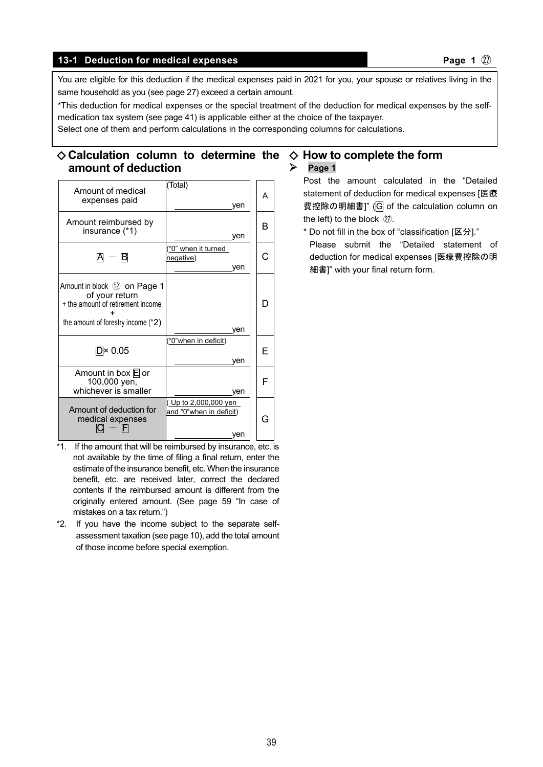#### **13-1** Deduction for medical expenses **Page 1**  $\emptyset$

You are eligible for this deduction if the medical expenses paid in 2021 for you, your spouse or relatives living in the same household as you (see page 27) exceed a certain amount.

\*This deduction for medical expenses or the special treatment of the deduction for medical expenses by the selfmedication tax system (see page 41) is applicable either at the choice of the taxpayer.

Select one of them and perform calculations in the corresponding columns for calculations.

#### ◇ **Calculation column to determine the**  ◇ **How to complete the form amount of deduction Page 1**

| Amount of medical<br>expenses paid                                                                                          | (Total)<br>ven                                                  | А |
|-----------------------------------------------------------------------------------------------------------------------------|-----------------------------------------------------------------|---|
| Amount reimbursed by<br>insurance (*1)                                                                                      | ven                                                             | в |
| A — B                                                                                                                       | "0" when it turned<br>negative)<br>ven                          |   |
| Amount in block 12 on Page 1<br>of your return<br>+ the amount of retirement income<br>the amount of forestry income $(*2)$ | ven                                                             | D |
| $D \times 0.05$                                                                                                             | ("0"when in deficit)<br>ven                                     | F |
| Amount in box $E$ or<br>100,000 yen,<br>whichever is smaller                                                                | ven                                                             | F |
| Amount of deduction for<br>medical expenses                                                                                 | <u>( Up to 2,000,000 yen_</u><br>and "0"when in deficit)<br>ven | G |

- \*1. If the amount that will be reimbursed by insurance, etc. is not available by the time of filing a final return, enter the estimate of the insurance benefit, etc. When the insurance benefit, etc. are received later, correct the declared contents if the reimbursed amount is different from the originally entered amount. (See page 59 "In case of mistakes on a tax return.")
- \*2. If you have the income subject to the separate selfassessment taxation (see page 10), add the total amount of those income before special exemption.

Post the amount calculated in the "Detailed statement of deduction for medical expenses [医療 費控除の明細書]" (G of the calculation column on the left) to the block ㉗.

\* Do not fill in the box of "classification [区分]." Please submit the "Detailed statement of deduction for medical expenses [医療費控除の明

細書]" with your final return form.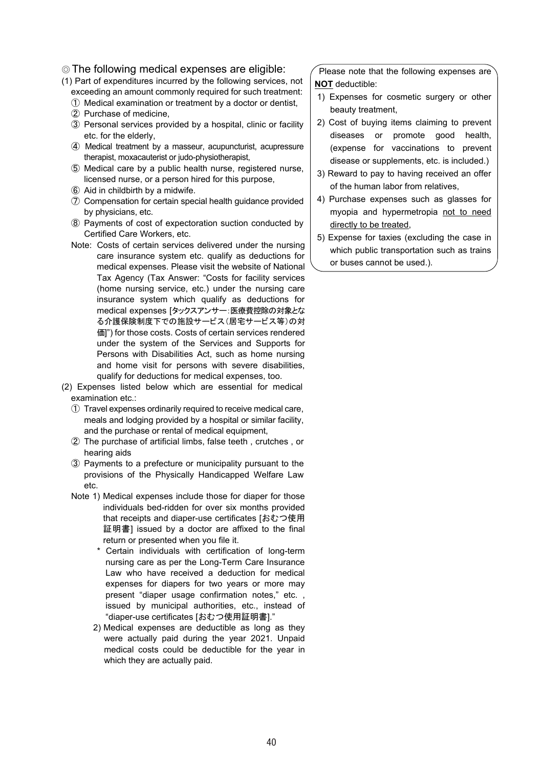#### ◎ The following medical expenses are eligible:

- (1) Part of expenditures incurred by the following services, not exceeding an amount commonly required for such treatment:
	- ① Medical examination or treatment by a doctor or dentist,
	- ② Purchase of medicine,
	- ③ Personal services provided by a hospital, clinic or facility etc. for the elderly,
	- ④ Medical treatment by a masseur, acupuncturist, acupressure therapist, moxacauterist or judo-physiotherapist,
	- ⑤ Medical care by a public health nurse, registered nurse, licensed nurse, or a person hired for this purpose,
	- ⑥ Aid in childbirth by a midwife.
	- ⑦ Compensation for certain special health guidance provided by physicians, etc.
	- ⑧ Payments of cost of expectoration suction conducted by Certified Care Workers, etc.
	- Note: Costs of certain services delivered under the nursing care insurance system etc. qualify as deductions for medical expenses. Please visit the website of National Tax Agency (Tax Answer: "Costs for facility services (home nursing service, etc.) under the nursing care insurance system which qualify as deductions for medical expenses [タックスアンサー:医療費控除の対象とな る介護保険制度下での施設サービス(居宅サービス等)の対 価]") for those costs. Costs of certain services rendered under the system of the Services and Supports for Persons with Disabilities Act, such as home nursing and home visit for persons with severe disabilities, qualify for deductions for medical expenses, too.
- (2) Expenses listed below which are essential for medical examination etc.:
	- ① Travel expenses ordinarily required to receive medical care, meals and lodging provided by a hospital or similar facility, and the purchase or rental of medical equipment,
	- ② The purchase of artificial limbs, false teeth , crutches , or hearing aids
	- ③ Payments to a prefecture or municipality pursuant to the provisions of the Physically Handicapped Welfare Law etc.
	- Note 1) Medical expenses include those for diaper for those individuals bed-ridden for over six months provided that receipts and diaper-use certificates [おむつ使用 証明書] issued by a doctor are affixed to the final return or presented when you file it.
		- \* Certain individuals with certification of long-term nursing care as per the Long-Term Care Insurance Law who have received a deduction for medical expenses for diapers for two years or more may present "diaper usage confirmation notes," etc. , issued by municipal authorities, etc., instead of "diaper-use certificates [おむつ使用証明書]."
		- 2) Medical expenses are deductible as long as they were actually paid during the year 2021. Unpaid medical costs could be deductible for the year in which they are actually paid.

Please note that the following expenses are **NOT** deductible:

- 1) Expenses for cosmetic surgery or other beauty treatment,
- 2) Cost of buying items claiming to prevent diseases or promote good health, (expense for vaccinations to prevent disease or supplements, etc. is included.)
- 3) Reward to pay to having received an offer of the human labor from relatives,
- 4) Purchase expenses such as glasses for myopia and hypermetropia not to need directly to be treated,
- 5) Expense for taxies (excluding the case in which public transportation such as trains or buses cannot be used.).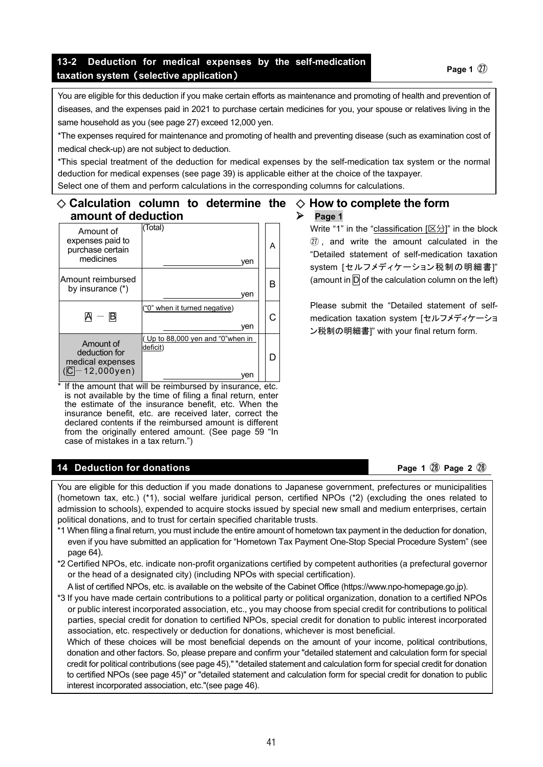### **13-2 Deduction for medical expenses by the self-medication taxation system (selective application) Page 1**  $\overline{w}$  **Page 1**  $\overline{w}$

You are eligible for this deduction if you make certain efforts as maintenance and promoting of health and prevention of diseases, and the expenses paid in 2021 to purchase certain medicines for you, your spouse or relatives living in the same household as you (see page 27) exceed 12,000 yen.

\*The expenses required for maintenance and promoting of health and preventing disease (such as examination cost of medical check-up) are not subject to deduction.

\*This special treatment of the deduction for medical expenses by the self-medication tax system or the normal deduction for medical expenses (see page 39) is applicable either at the choice of the taxpayer. Select one of them and perform calculations in the corresponding columns for calculations.

#### ◇ **Calculation column to determine the**  ◇ **How to complete the form amount of deduction**  $\triangleright$  Page 1

Amount of expenses paid to purchase certain medicines (Total) yen A Amount reimbursed by insurance  $(*)$  yen B  $A - B$ ("0" when it turned negative) yen C Amount of deduction for medical expenses  $($  $\overline{C}$ -12,000yen) ( Up to 88,000 yen and "0"when in deficit) yen D

If the amount that will be reimbursed by insurance, etc. is not available by the time of filing a final return, enter the estimate of the insurance benefit, etc. When the insurance benefit, etc. are received later, correct the declared contents if the reimbursed amount is different from the originally entered amount. (See page 59 "In case of mistakes in a tax return.")

#### **14** Deduction for donations **Page 1**  $\mathbb{Q}$  Page 2  $\mathbb{Q}$

You are eligible for this deduction if you made donations to Japanese government, prefectures or municipalities (hometown tax, etc.) (\*1), social welfare juridical person, certified NPOs (\*2) (excluding the ones related to admission to schools), expended to acquire stocks issued by special new small and medium enterprises, certain political donations, and to trust for certain specified charitable trusts.

- \*1 When filing a final return, you must include the entire amount of hometown tax payment in the deduction for donation, even if you have submitted an application for "Hometown Tax Payment One-Stop Special Procedure System" (see page 64).
- \*2 Certified NPOs, etc. indicate non-profit organizations certified by competent authorities (a prefectural governor or the head of a designated city) (including NPOs with special certification).

A list of certified NPOs, etc. is available on the website of the Cabinet Office (https://www.npo-homepage.go.jp).

\*3 If you have made certain contributions to a political party or political organization, donation to a certified NPOs or public interest incorporated association, etc., you may choose from special credit for contributions to political parties, special credit for donation to certified NPOs, special credit for donation to public interest incorporated association, etc. respectively or deduction for donations, whichever is most beneficial.

Which of these choices will be most beneficial depends on the amount of your income, political contributions, donation and other factors. So, please prepare and confirm your "detailed statement and calculation form for special credit for political contributions (see page 45)," "detailed statement and calculation form for special credit for donation to certified NPOs (see page 45)" or "detailed statement and calculation form for special credit for donation to public interest incorporated association, etc."(see page 46).

41 41

Write "1" in the "classification  $[ $\boxtimes$ )]$ " in the block ㉗ , and write the amount calculated in the "Detailed statement of self-medication taxation system [セルフメディケーション税制の明細書]" (amount in  $\overline{D}$  of the calculation column on the left)

Please submit the "Detailed statement of selfmedication taxation system [セルフメディケーショ ン税制の明細書]" with your final return form.